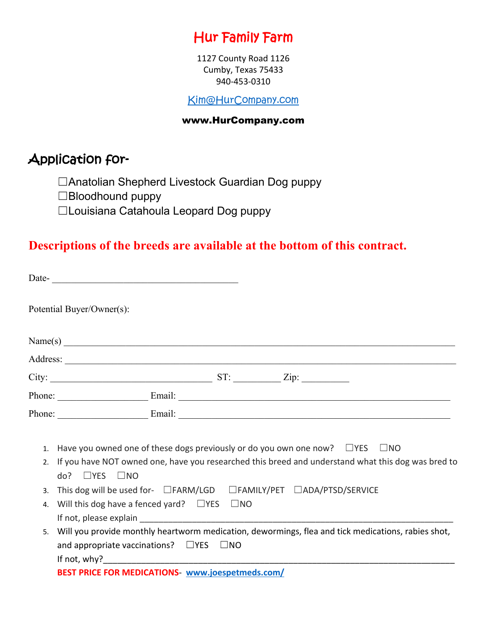## Hur Family Farm

1127 County Road 1126 Cumby, Texas 75433 940-453-0310

[Kim@HurCompany.com](mailto:Kim@HurCompany.com)

#### www.HurCompany.com

## Application for-

☐Anatolian Shepherd Livestock Guardian Dog puppy

☐Bloodhound puppy

☐Louisiana Catahoula Leopard Dog puppy

#### **Descriptions of the breeds are available at the bottom of this contract.**

|    | Potential Buyer/Owner(s):                                                                                                        |  |  |  |
|----|----------------------------------------------------------------------------------------------------------------------------------|--|--|--|
|    | Name(s) $\overline{\phantom{a}}$                                                                                                 |  |  |  |
|    |                                                                                                                                  |  |  |  |
|    | City: $\qquad \qquad \qquad \text{ST:} \qquad \qquad \text{Zip:}$                                                                |  |  |  |
|    |                                                                                                                                  |  |  |  |
|    |                                                                                                                                  |  |  |  |
|    | 1. Have you owned one of these dogs previously or do you own one now? $\square$ YES $\square$ NO                                 |  |  |  |
| 2. | If you have NOT owned one, have you researched this breed and understand what this dog was bred to<br>$do?$ $\Box$ YES $\Box$ NO |  |  |  |
| 3. | This dog will be used for- $\Box$ FARM/LGD $\Box$ FAMILY/PET $\Box$ ADA/PTSD/SERVICE                                             |  |  |  |
| 4. | Will this dog have a fenced yard? $\Box$ YES $\Box$ NO                                                                           |  |  |  |
|    |                                                                                                                                  |  |  |  |
| 5. | Will you provide monthly heartworm medication, dewormings, flea and tick medications, rabies shot,                               |  |  |  |
|    | and appropriate vaccinations? $\Box$ YES $\Box$ NO                                                                               |  |  |  |
|    | If not, why? $\blacksquare$                                                                                                      |  |  |  |
|    | BEST PRICE FOR MEDICATIONS <b>www.joespetmeds.com/</b>                                                                           |  |  |  |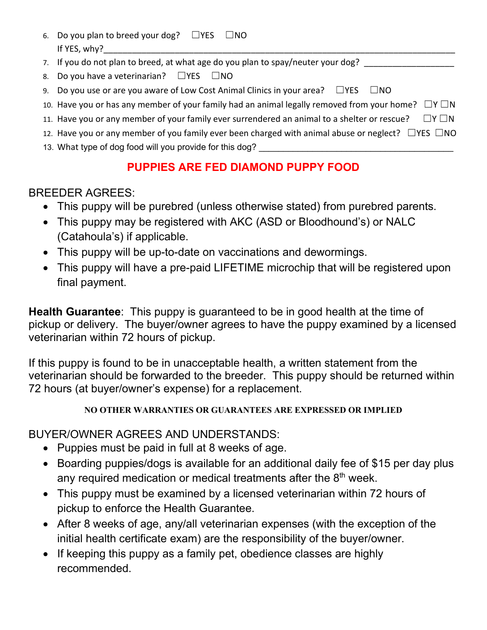- 6. Do you plan to breed your dog?  $\square$ YES  $\square$ NO If YES, why?
- 7. If you do not plan to breed, at what age do you plan to spay/neuter your dog? \_\_\_\_\_\_\_\_\_\_\_\_\_\_\_\_\_\_\_\_\_\_\_\_\_\_\_\_\_
- 8. Do you have a veterinarian?  $\square$ YES  $\square$ NO
- 9. Do you use or are you aware of Low Cost Animal Clinics in your area?  $□YES$   $□NO$
- 10. Have you or has any member of your family had an animal legally removed from your home?  $□Y□N$
- 11. Have you or any member of your family ever surrendered an animal to a shelter or rescue?  $□Y □N$
- 12. Have you or any member of you family ever been charged with animal abuse or neglect?  $\Box$ YES  $\Box$ NO
- 13. What type of dog food will you provide for this dog?

## **PUPPIES ARE FED DIAMOND PUPPY FOOD**

#### BREEDER AGREES:

- This puppy will be purebred (unless otherwise stated) from purebred parents.
- This puppy may be registered with AKC (ASD or Bloodhound's) or NALC (Catahoula's) if applicable.
- This puppy will be up-to-date on vaccinations and dewormings.
- This puppy will have a pre-paid LIFETIME microchip that will be registered upon final payment.

**Health Guarantee**: This puppy is guaranteed to be in good health at the time of pickup or delivery. The buyer/owner agrees to have the puppy examined by a licensed veterinarian within 72 hours of pickup.

If this puppy is found to be in unacceptable health, a written statement from the veterinarian should be forwarded to the breeder. This puppy should be returned within 72 hours (at buyer/owner's expense) for a replacement.

**NO OTHER WARRANTIES OR GUARANTEES ARE EXPRESSED OR IMPLIED**

#### BUYER/OWNER AGREES AND UNDERSTANDS:

- Puppies must be paid in full at 8 weeks of age.
- Boarding puppies/dogs is available for an additional daily fee of \$15 per day plus any required medication or medical treatments after the  $8<sup>th</sup>$  week.
- This puppy must be examined by a licensed veterinarian within 72 hours of pickup to enforce the Health Guarantee.
- After 8 weeks of age, any/all veterinarian expenses (with the exception of the initial health certificate exam) are the responsibility of the buyer/owner.
- If keeping this puppy as a family pet, obedience classes are highly recommended.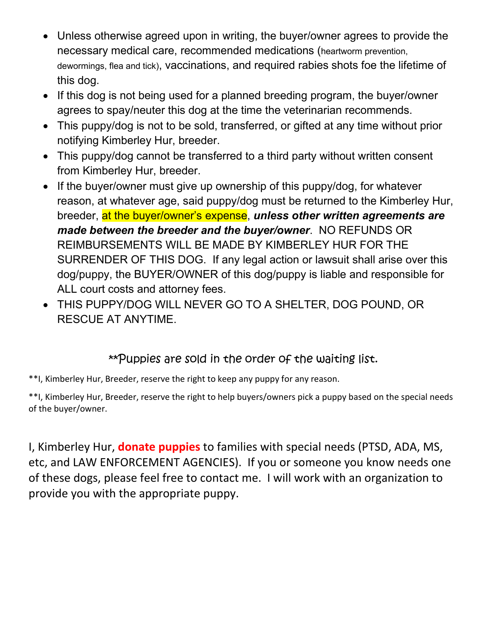- Unless otherwise agreed upon in writing, the buyer/owner agrees to provide the necessary medical care, recommended medications (heartworm prevention, dewormings, flea and tick), vaccinations, and required rabies shots foe the lifetime of this dog.
- If this dog is not being used for a planned breeding program, the buyer/owner agrees to spay/neuter this dog at the time the veterinarian recommends.
- This puppy/dog is not to be sold, transferred, or gifted at any time without prior notifying Kimberley Hur, breeder.
- This puppy/dog cannot be transferred to a third party without written consent from Kimberley Hur, breeder.
- If the buyer/owner must give up ownership of this puppy/dog, for whatever reason, at whatever age, said puppy/dog must be returned to the Kimberley Hur, breeder, at the buyer/owner's expense, *unless other written agreements are made between the breeder and the buyer/owner*. NO REFUNDS OR REIMBURSEMENTS WILL BE MADE BY KIMBERLEY HUR FOR THE SURRENDER OF THIS DOG. If any legal action or lawsuit shall arise over this dog/puppy, the BUYER/OWNER of this dog/puppy is liable and responsible for ALL court costs and attorney fees.
- THIS PUPPY/DOG WILL NEVER GO TO A SHELTER, DOG POUND, OR RESCUE AT ANYTIME.

#### \*\*Puppies are sold in the order of the waiting list.

\*\*I, Kimberley Hur, Breeder, reserve the right to keep any puppy for any reason.

\*\*I, Kimberley Hur, Breeder, reserve the right to help buyers/owners pick a puppy based on the special needs of the buyer/owner.

I, Kimberley Hur, **donate puppies** to families with special needs (PTSD, ADA, MS, etc, and LAW ENFORCEMENT AGENCIES). If you or someone you know needs one of these dogs, please feel free to contact me. I will work with an organization to provide you with the appropriate puppy.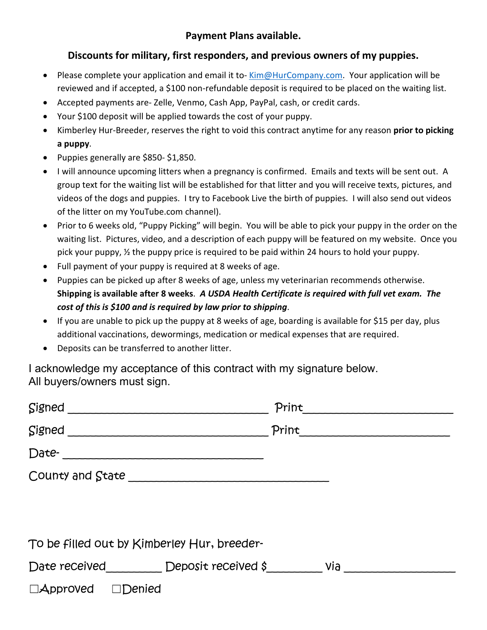#### **Payment Plans available.**

#### **Discounts for military, first responders, and previous owners of my puppies.**

- Please complete your application and email it to- [Kim@HurCompany.com.](mailto:Kim@HurCompany.com) Your application will be reviewed and if accepted, a \$100 non-refundable deposit is required to be placed on the waiting list.
- Accepted payments are- Zelle, Venmo, Cash App, PayPal, cash, or credit cards.
- Your \$100 deposit will be applied towards the cost of your puppy.
- Kimberley Hur-Breeder, reserves the right to void this contract anytime for any reason **prior to picking a puppy**.
- Puppies generally are \$850- \$1,850.
- I will announce upcoming litters when a pregnancy is confirmed. Emails and texts will be sent out. A group text for the waiting list will be established for that litter and you will receive texts, pictures, and videos of the dogs and puppies. I try to Facebook Live the birth of puppies. I will also send out videos of the litter on my YouTube.com channel).
- Prior to 6 weeks old, "Puppy Picking" will begin. You will be able to pick your puppy in the order on the waiting list. Pictures, video, and a description of each puppy will be featured on my website. Once you pick your puppy, ½ the puppy price is required to be paid within 24 hours to hold your puppy.
- Full payment of your puppy is required at 8 weeks of age.
- Puppies can be picked up after 8 weeks of age, unless my veterinarian recommends otherwise. **Shipping is available after 8 weeks**. *A USDA Health Certificate is required with full vet exam. The cost of this is \$100 and is required by law prior to shipping*.
- If you are unable to pick up the puppy at 8 weeks of age, boarding is available for \$15 per day, plus additional vaccinations, dewormings, medication or medical expenses that are required.
- Deposits can be transferred to another litter.

I acknowledge my acceptance of this contract with my signature below. All buyers/owners must sign.

| Signed                                      |  | Print |  |  |  |
|---------------------------------------------|--|-------|--|--|--|
| Signed                                      |  | Print |  |  |  |
| Date-<br><u> </u>                           |  |       |  |  |  |
|                                             |  |       |  |  |  |
|                                             |  |       |  |  |  |
|                                             |  |       |  |  |  |
| To be filled out by Kimberley Hur, breeder- |  |       |  |  |  |
| Date received Deposit received $\beta$ via  |  |       |  |  |  |
| $\Box$ Approved $\Box$ Denied               |  |       |  |  |  |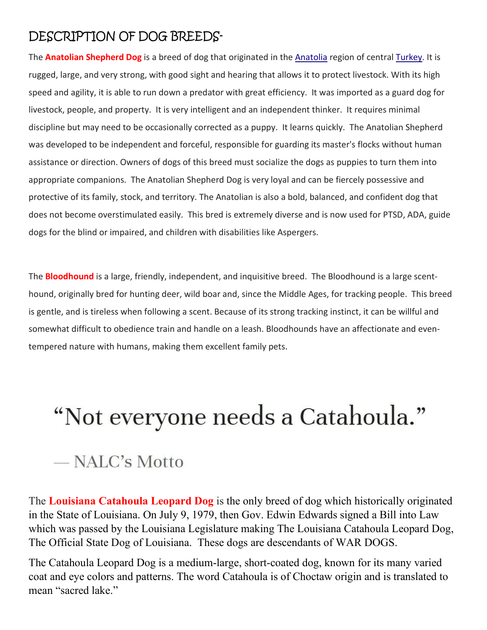## DESCRIPTION OF DOG BREEDS-

The **Anatolian Shepherd Dog** is a breed of dog that originated in the [Anatolia](https://en.wikipedia.org/wiki/Anatolia) region of central [Turkey.](https://en.wikipedia.org/wiki/Turkey) It is rugged, large, and very strong, with good sight and hearing that allows it to protect livestock. With its high speed and agility, it is able to run down a predator with great efficiency. It was imported as a guard dog for livestock, people, and property. It is very intelligent and an independent thinker. It requires minimal discipline but may need to be occasionally corrected as a puppy. It learns quickly. The Anatolian Shepherd was developed to be independent and forceful, responsible for guarding its master's flocks without human assistance or direction. Owners of dogs of this breed must socialize the dogs as puppies to turn them into appropriate companions. The Anatolian Shepherd Dog is very loyal and can be fiercely possessive and protective of its family, stock, and territory. The Anatolian is also a bold, balanced, and confident dog that does not become overstimulated easily. This bred is extremely diverse and is now used for PTSD, ADA, guide dogs for the blind or impaired, and children with disabilities like Aspergers.

The **Bloodhound** is a large, friendly, independent, and inquisitive breed. The Bloodhound is a large scenthound, originally bred for hunting deer, wild boar and, since the Middle Ages, for tracking people. This breed is gentle, and is tireless when following a scent. Because of its strong tracking instinct, it can be willful and somewhat difficult to obedience train and handle on a leash. Bloodhounds have an affectionate and eventempered nature with humans, making them excellent family pets.

# "Not everyone needs a Catahoula."

## — NALC's Motto

The **Louisiana Catahoula Leopard Dog** is the only breed of dog which historically originated in the State of Louisiana. On July 9, 1979, then Gov. Edwin Edwards signed a Bill into Law which was passed by the Louisiana Legislature making The Louisiana Catahoula Leopard Dog, The Official State Dog of Louisiana. These dogs are descendants of WAR DOGS.

The Catahoula Leopard Dog is a medium-large, short-coated dog, known for its many varied coat and eye colors and patterns. The word Catahoula is of Choctaw origin and is translated to mean "sacred lake."